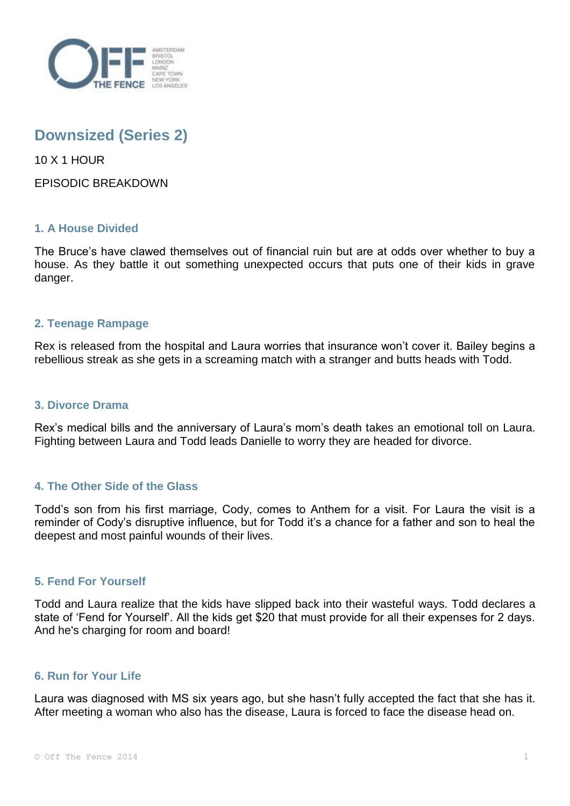

# **Downsized (Series 2)**

10 X 1 HOUR

EPISODIC BREAKDOWN

## **1. A House Divided**

The Bruce's have clawed themselves out of financial ruin but are at odds over whether to buy a house. As they battle it out something unexpected occurs that puts one of their kids in grave danger.

## **2. Teenage Rampage**

Rex is released from the hospital and Laura worries that insurance won't cover it. Bailey begins a rebellious streak as she gets in a screaming match with a stranger and butts heads with Todd.

## **3. Divorce Drama**

Rex's medical bills and the anniversary of Laura's mom's death takes an emotional toll on Laura. Fighting between Laura and Todd leads Danielle to worry they are headed for divorce.

## **4. The Other Side of the Glass**

Todd's son from his first marriage, Cody, comes to Anthem for a visit. For Laura the visit is a reminder of Cody's disruptive influence, but for Todd it's a chance for a father and son to heal the deepest and most painful wounds of their lives.

## **5. Fend For Yourself**

Todd and Laura realize that the kids have slipped back into their wasteful ways. Todd declares a state of 'Fend for Yourself'. All the kids get \$20 that must provide for all their expenses for 2 days. And he's charging for room and board!

# **6. Run for Your Life**

Laura was diagnosed with MS six years ago, but she hasn't fully accepted the fact that she has it. After meeting a woman who also has the disease, Laura is forced to face the disease head on.